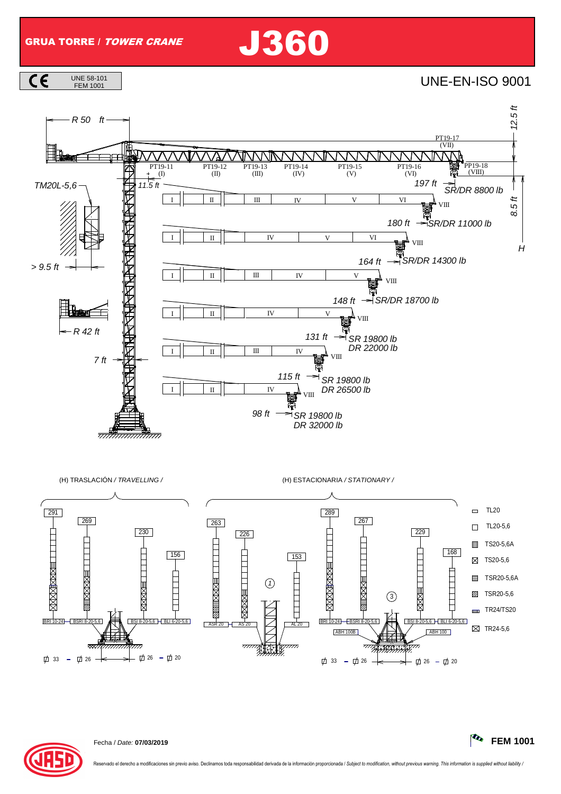GRUA TORRE / TOWER CRANE J360



FEM 1001 UNE-EN-ISO 9001



(H) TRASLACIÓN / TRAVELLING / (H) ESTACIONARIA / STATIONARY /



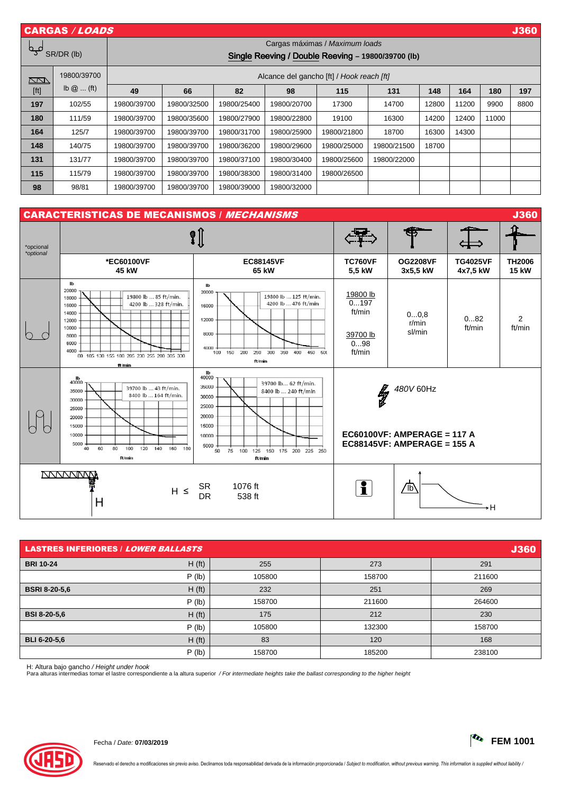| <b>CARGAS / LOADS</b><br><b>J360</b> |                                                          |                                                                                      |             |             |             |             |             |       |       |       |      |
|--------------------------------------|----------------------------------------------------------|--------------------------------------------------------------------------------------|-------------|-------------|-------------|-------------|-------------|-------|-------|-------|------|
| مہم<br>SR/DR (lb)                    |                                                          | Cargas máximas / Maximum loads<br>Single Reeving / Double Reeving - 19800/39700 (lb) |             |             |             |             |             |       |       |       |      |
| <u>NN</u>                            | 19800/39700<br>Alcance del gancho [ft] / Hook reach [ft] |                                                                                      |             |             |             |             |             |       |       |       |      |
| [ft]                                 | $\mathsf{lb}\ \omega$ (ft)                               | 49                                                                                   | 66          | 82          | 98          | 115         | 131         | 148   | 164   | 180   | 197  |
| 197                                  | 102/55                                                   | 19800/39700                                                                          | 19800/32500 | 19800/25400 | 19800/20700 | 17300       | 14700       | 12800 | 11200 | 9900  | 8800 |
| 180                                  | 111/59                                                   | 19800/39700                                                                          | 19800/35600 | 19800/27900 | 19800/22800 | 19100       | 16300       | 14200 | 12400 | 11000 |      |
| 164                                  | 125/7                                                    | 19800/39700                                                                          | 19800/39700 | 19800/31700 | 19800/25900 | 19800/21800 | 18700       | 16300 | 14300 | _     |      |
| 148                                  | 140/75                                                   | 19800/39700                                                                          | 19800/39700 | 19800/36200 | 19800/29600 | 19800/25000 | 19800/21500 | 18700 |       |       |      |
| 131                                  | 131/77                                                   | 19800/39700                                                                          | 19800/39700 | 19800/37100 | 19800/30400 | 19800/25600 | 19800/22000 |       |       |       |      |
| 115                                  | 115/79                                                   | 19800/39700                                                                          | 19800/39700 | 19800/38300 | 19800/31400 | 19800/26500 |             |       |       |       |      |
| 98                                   | 98/81                                                    | 19800/39700                                                                          | 19800/39700 | 19800/39000 | 19800/32000 |             |             |       |       |       |      |



| <b>LASTRES INFERIORES / LOWER BALLASTS</b> |                    |        |        |        |  |  |
|--------------------------------------------|--------------------|--------|--------|--------|--|--|
| <b>BRI 10-24</b>                           | H(f <sub>t</sub> ) | 255    | 273    | 291    |  |  |
|                                            | $P$ (lb)           | 105800 | 158700 | 211600 |  |  |
| <b>BSRI 8-20-5,6</b>                       | H(f <sub>t</sub> ) | 232    | 251    | 269    |  |  |
|                                            | $P$ (lb)           | 158700 | 211600 | 264600 |  |  |
| <b>BSI 8-20-5,6</b>                        | H(f <sub>t</sub> ) | 175    | 212    | 230    |  |  |
|                                            | $P$ (lb)           | 105800 | 132300 | 158700 |  |  |
| BLI 6-20-5.6                               | H(f <sub>t</sub> ) | 83     | 120    | 168    |  |  |
|                                            | $P$ (lb)           | 158700 | 185200 | 238100 |  |  |

H: Altura bajo gancho / Height under hook

Para alturas intermedias tomar el lastre correspondiente a la altura superior / For intermediate heights take the ballast corresponding to the higher height

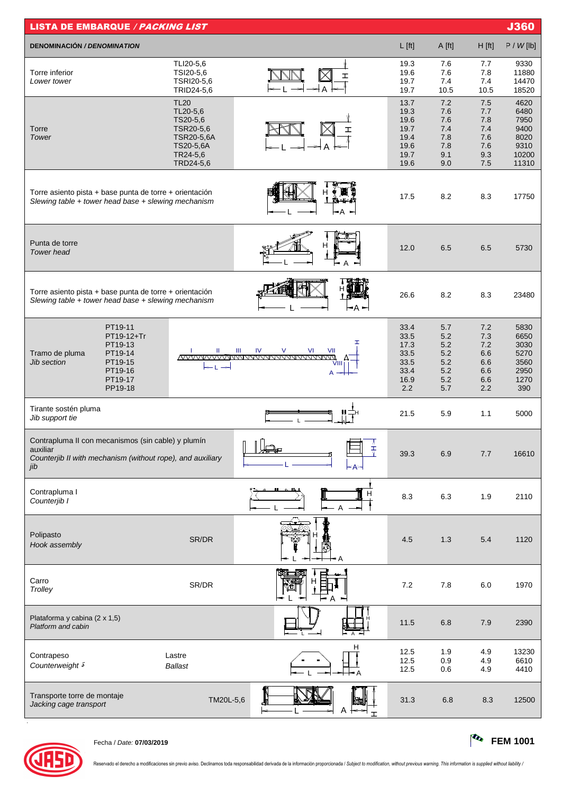| <b>LISTA DE EMBARQUE / PACKING LIST</b>                                                                                             |                                                                                                      |                                                    |                                                              |                                                      |                                                      | <b>J360</b>                                                    |
|-------------------------------------------------------------------------------------------------------------------------------------|------------------------------------------------------------------------------------------------------|----------------------------------------------------|--------------------------------------------------------------|------------------------------------------------------|------------------------------------------------------|----------------------------------------------------------------|
| <b>DENOMINACIÓN / DENOMINATION</b>                                                                                                  |                                                                                                      |                                                    | $L$ [ft]                                                     | A [ft]                                               | $H$ [ft]                                             | P / W[lb]                                                      |
| Torre inferior<br>Lower tower                                                                                                       | TLI20-5,6<br>TSI20-5,6<br>TSRI20-5,6<br>TRID24-5,6                                                   | ェ                                                  | 19.3<br>19.6<br>19.7<br>19.7                                 | 7.6<br>7.6<br>7.4<br>10.5                            | 7.7<br>7.8<br>7.4<br>10.5                            | 9330<br>11880<br>14470<br>18520                                |
| Torre<br>Tower                                                                                                                      | <b>TL20</b><br>TL20-5,6<br>TS20-5,6<br>TSR20-5,6<br>TSR20-5,6A<br>TS20-5,6A<br>TR24-5,6<br>TRD24-5,6 |                                                    | 13.7<br>19.3<br>19.6<br>19.7<br>19.4<br>19.6<br>19.7<br>19.6 | 7.2<br>7.6<br>7.6<br>7.4<br>7.8<br>7.8<br>9.1<br>9.0 | 7.5<br>7.7<br>7.8<br>7.4<br>7.6<br>7.6<br>9.3<br>7.5 | 4620<br>6480<br>7950<br>9400<br>8020<br>9310<br>10200<br>11310 |
| Torre asiento pista + base punta de torre + orientación<br>Slewing table + tower head base + slewing mechanism                      |                                                                                                      | ⊢A<br>−                                            | 17.5                                                         | 8.2                                                  | 8.3                                                  | 17750                                                          |
| Punta de torre<br><b>Tower</b> head                                                                                                 |                                                                                                      |                                                    | 12.0                                                         | 6.5                                                  | 6.5                                                  | 5730                                                           |
| Torre asiento pista + base punta de torre + orientación<br>Slewing table + tower head base + slewing mechanism                      |                                                                                                      | -A -                                               | 26.6                                                         | 8.2                                                  | 8.3                                                  | 23480                                                          |
| PT19-11<br>PT19-12+Tr<br>PT19-13<br>PT19-14<br>Tramo de pluma<br>PT19-15<br>Jib section<br>PT19-16<br>PT19-17<br>PP19-18            | Ш                                                                                                    | IV<br>$\vee$<br>Ш<br><b>VI</b><br>VII<br>VIII<br>A | 33.4<br>33.5<br>17.3<br>33.5<br>33.5<br>33.4<br>16.9<br>2.2  | 5.7<br>5.2<br>5.2<br>5.2<br>5.2<br>5.2<br>5.2<br>5.7 | 7.2<br>7.3<br>7.2<br>6.6<br>6.6<br>6.6<br>6.6<br>2.2 | 5830<br>6650<br>3030<br>5270<br>3560<br>2950<br>1270<br>390    |
| Tirante sostén pluma<br>Jib support tie                                                                                             |                                                                                                      |                                                    | 21.5                                                         | 5.9                                                  | 1.1                                                  | 5000                                                           |
| Contrapluma II con mecanismos (sin cable) y plumín<br>auxiliar<br>Counterjib II with mechanism (without rope), and auxiliary<br>jib |                                                                                                      | $\blacksquare$<br>W<br>玉                           | 39.3                                                         | 6.9                                                  | 7.7                                                  | 16610                                                          |
| Contrapluma I<br>Counterjib I                                                                                                       |                                                                                                      |                                                    | 8.3                                                          | 6.3                                                  | 1.9                                                  | 2110                                                           |
| Polipasto<br>Hook assembly                                                                                                          | SR/DR                                                                                                | ۰A                                                 | 4.5                                                          | 1.3                                                  | 5.4                                                  | 1120                                                           |
| Carro<br>Trolley                                                                                                                    | SR/DR                                                                                                |                                                    | 7.2                                                          | 7.8                                                  | 6.0                                                  | 1970                                                           |
| Plataforma y cabina (2 x 1,5)<br>Platform and cabin                                                                                 |                                                                                                      |                                                    | 11.5                                                         | 6.8                                                  | 7.9                                                  | 2390                                                           |
| Contrapeso<br>Counterweight <sup>5</sup>                                                                                            | Lastre<br><b>Ballast</b>                                                                             | н                                                  | 12.5<br>12.5<br>12.5                                         | 1.9<br>0.9<br>0.6                                    | 4.9<br>4.9<br>4.9                                    | 13230<br>6610<br>4410                                          |
| Transporte torre de montaje<br>Jacking cage transport                                                                               | TM20L-5,6                                                                                            |                                                    | 31.3                                                         | 6.8                                                  | 8.3                                                  | 12500                                                          |



.

Fecha / Date: **07/03/2019 FEM 1001**